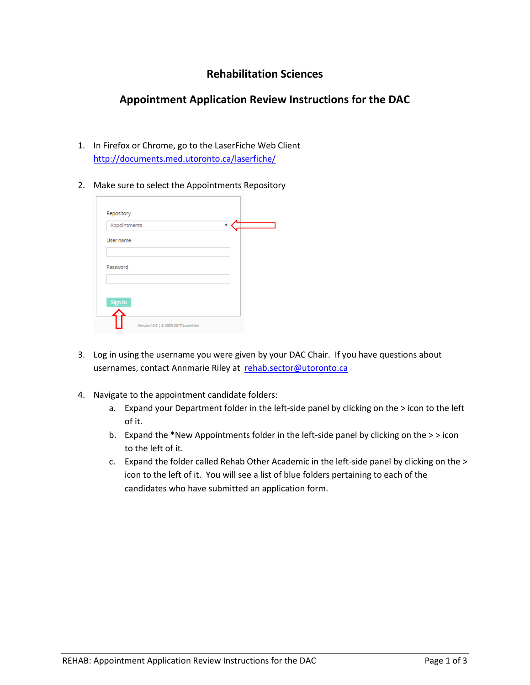## **Rehabilitation Sciences**

## **Appointment Application Review Instructions for the DAC**

- 1. In Firefox or Chrome, go to the LaserFiche Web Client <http://documents.med.utoronto.ca/laserfiche/>
- 2. Make sure to select the Appointments Repository

| Repository   |  |  |  |
|--------------|--|--|--|
| Appointments |  |  |  |
| User name    |  |  |  |
|              |  |  |  |
| Password     |  |  |  |
|              |  |  |  |
| Sign In      |  |  |  |
|              |  |  |  |

- 3. Log in using the username you were given by your DAC Chair. If you have questions about usernames, contact Annmarie Riley at [rehab.sector@utoronto.ca](mailto:rehab.sector@utoronto.ca)
- 4. Navigate to the appointment candidate folders:
	- a. Expand your Department folder in the left-side panel by clicking on the > icon to the left of it.
	- b. Expand the \*New Appointments folder in the left-side panel by clicking on the > > icon to the left of it.
	- c. Expand the folder called Rehab Other Academic in the left-side panel by clicking on the > icon to the left of it. You will see a list of blue folders pertaining to each of the candidates who have submitted an application form.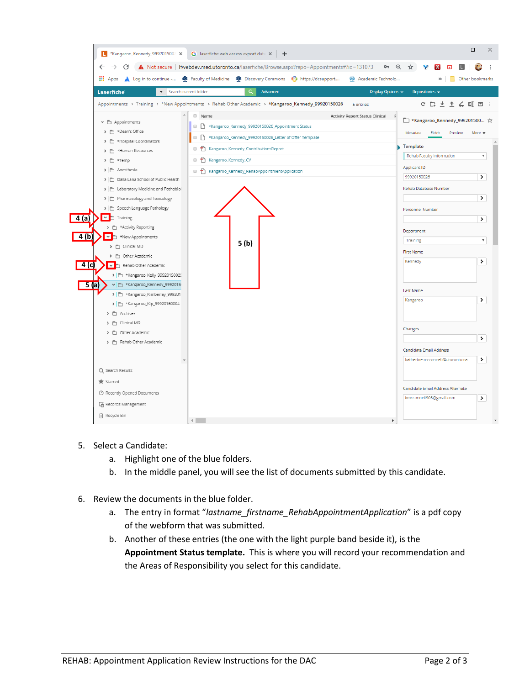

- 5. Select a Candidate:
	- a. Highlight one of the blue folders.
	- b. In the middle panel, you will see the list of documents submitted by this candidate.
- 6. Review the documents in the blue folder.
	- a. The entry in format "*lastname\_firstname\_RehabAppointmentApplication*" is a pdf copy of the webform that was submitted.
	- b. Another of these entries (the one with the light purple band beside it), is the **Appointment Status template.** This is where you will record your recommendation and the Areas of Responsibility you select for this candidate.